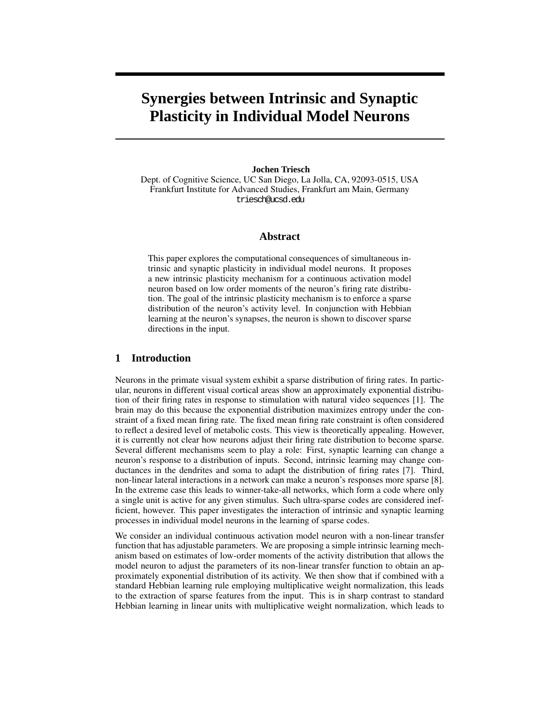# **Synergies between Intrinsic and Synaptic Plasticity in Individual Model Neurons**

#### **Jochen Triesch**

Dept. of Cognitive Science, UC San Diego, La Jolla, CA, 92093-0515, USA Frankfurt Institute for Advanced Studies, Frankfurt am Main, Germany triesch@ucsd.edu

## **Abstract**

This paper explores the computational consequences of simultaneous intrinsic and synaptic plasticity in individual model neurons. It proposes a new intrinsic plasticity mechanism for a continuous activation model neuron based on low order moments of the neuron's firing rate distribution. The goal of the intrinsic plasticity mechanism is to enforce a sparse distribution of the neuron's activity level. In conjunction with Hebbian learning at the neuron's synapses, the neuron is shown to discover sparse directions in the input.

# **1 Introduction**

Neurons in the primate visual system exhibit a sparse distribution of firing rates. In particular, neurons in different visual cortical areas show an approximately exponential distribution of their firing rates in response to stimulation with natural video sequences [1]. The brain may do this because the exponential distribution maximizes entropy under the constraint of a fixed mean firing rate. The fixed mean firing rate constraint is often considered to reflect a desired level of metabolic costs. This view is theoretically appealing. However, it is currently not clear how neurons adjust their firing rate distribution to become sparse. Several different mechanisms seem to play a role: First, synaptic learning can change a neuron's response to a distribution of inputs. Second, intrinsic learning may change conductances in the dendrites and soma to adapt the distribution of firing rates [7]. Third, non-linear lateral interactions in a network can make a neuron's responses more sparse [8]. In the extreme case this leads to winner-take-all networks, which form a code where only a single unit is active for any given stimulus. Such ultra-sparse codes are considered inefficient, however. This paper investigates the interaction of intrinsic and synaptic learning processes in individual model neurons in the learning of sparse codes.

We consider an individual continuous activation model neuron with a non-linear transfer function that has adjustable parameters. We are proposing a simple intrinsic learning mechanism based on estimates of low-order moments of the activity distribution that allows the model neuron to adjust the parameters of its non-linear transfer function to obtain an approximately exponential distribution of its activity. We then show that if combined with a standard Hebbian learning rule employing multiplicative weight normalization, this leads to the extraction of sparse features from the input. This is in sharp contrast to standard Hebbian learning in linear units with multiplicative weight normalization, which leads to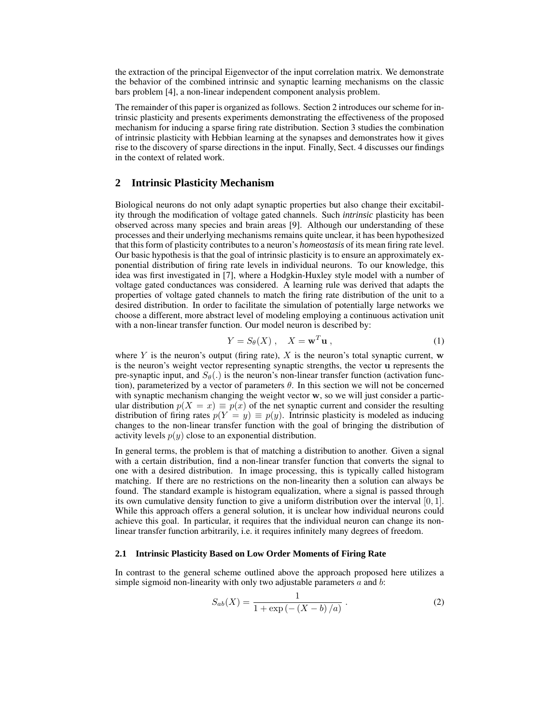the extraction of the principal Eigenvector of the input correlation matrix. We demonstrate the behavior of the combined intrinsic and synaptic learning mechanisms on the classic bars problem [4], a non-linear independent component analysis problem.

The remainder of this paper is organized as follows. Section 2 introduces our scheme for intrinsic plasticity and presents experiments demonstrating the effectiveness of the proposed mechanism for inducing a sparse firing rate distribution. Section 3 studies the combination of intrinsic plasticity with Hebbian learning at the synapses and demonstrates how it gives rise to the discovery of sparse directions in the input. Finally, Sect. 4 discusses our findings in the context of related work.

## **2 Intrinsic Plasticity Mechanism**

Biological neurons do not only adapt synaptic properties but also change their excitability through the modification of voltage gated channels. Such *intrinsic* plasticity has been observed across many species and brain areas [9]. Although our understanding of these processes and their underlying mechanisms remains quite unclear, it has been hypothesized that this form of plasticity contributes to a neuron's *homeostasis* of its mean firing rate level. Our basic hypothesis is that the goal of intrinsic plasticity is to ensure an approximately exponential distribution of firing rate levels in individual neurons. To our knowledge, this idea was first investigated in [7], where a Hodgkin-Huxley style model with a number of voltage gated conductances was considered. A learning rule was derived that adapts the properties of voltage gated channels to match the firing rate distribution of the unit to a desired distribution. In order to facilitate the simulation of potentially large networks we choose a different, more abstract level of modeling employing a continuous activation unit with a non-linear transfer function. Our model neuron is described by:

$$
Y = S_{\theta}(X) , \quad X = \mathbf{w}^T \mathbf{u} , \tag{1}
$$

where Y is the neuron's output (firing rate), X is the neuron's total synaptic current,  $\bf{w}$ is the neuron's weight vector representing synaptic strengths, the vector u represents the pre-synaptic input, and  $S_{\theta}$ .) is the neuron's non-linear transfer function (activation function), parameterized by a vector of parameters  $\theta$ . In this section we will not be concerned with synaptic mechanism changing the weight vector  $w$ , so we will just consider a particular distribution  $p(X = x) \equiv p(x)$  of the net synaptic current and consider the resulting distribution of firing rates  $p(Y = y) \equiv p(y)$ . Intrinsic plasticity is modeled as inducing changes to the non-linear transfer function with the goal of bringing the distribution of activity levels  $p(y)$  close to an exponential distribution.

In general terms, the problem is that of matching a distribution to another. Given a signal with a certain distribution, find a non-linear transfer function that converts the signal to one with a desired distribution. In image processing, this is typically called histogram matching. If there are no restrictions on the non-linearity then a solution can always be found. The standard example is histogram equalization, where a signal is passed through its own cumulative density function to give a uniform distribution over the interval  $[0, 1]$ . While this approach offers a general solution, it is unclear how individual neurons could achieve this goal. In particular, it requires that the individual neuron can change its nonlinear transfer function arbitrarily, i.e. it requires infinitely many degrees of freedom.

## **2.1 Intrinsic Plasticity Based on Low Order Moments of Firing Rate**

In contrast to the general scheme outlined above the approach proposed here utilizes a simple sigmoid non-linearity with only two adjustable parameters  $a$  and  $b$ :

$$
S_{ab}(X) = \frac{1}{1 + \exp(-(X - b)/a)}.
$$
 (2)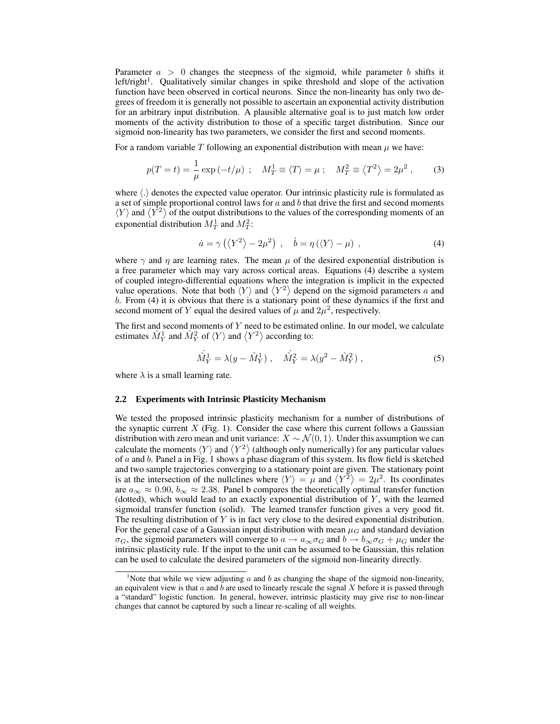Parameter  $a > 0$  changes the steepness of the sigmoid, while parameter b shifts it left/right<sup>1</sup>. Qualitatively similar changes in spike threshold and slope of the activation function have been observed in cortical neurons. Since the non-linearity has only two degrees of freedom it is generally not possible to ascertain an exponential activity distribution for an arbitrary input distribution. A plausible alternative goal is to just match low order moments of the activity distribution to those of a specific target distribution. Since our sigmoid non-linearity has two parameters, we consider the first and second moments.

For a random variable  $T$  following an exponential distribution with mean  $\mu$  we have:

$$
p(T = t) = \frac{1}{\mu} \exp(-t/\mu) \; ; \quad M_T^1 \equiv \langle T \rangle = \mu \; ; \quad M_T^2 \equiv \langle T^2 \rangle = 2\mu^2 \; , \tag{3}
$$

where  $\langle \cdot \rangle$  denotes the expected value operator. Our intrinsic plasticity rule is formulated as a set of simple proportional control laws for  $a$  and  $b$  that drive the first and second moments  $\langle Y \rangle$  and  $\langle Y^2 \rangle$  of the output distributions to the values of the corresponding moments of an exponential distribution  $M_T^1$  and  $M_T^2$ :

$$
\dot{a} = \gamma \left( \left\langle Y^2 \right\rangle - 2\mu^2 \right) , \quad \dot{b} = \eta \left( \left\langle Y \right\rangle - \mu \right) , \tag{4}
$$

where  $\gamma$  and  $\eta$  are learning rates. The mean  $\mu$  of the desired exponential distribution is a free parameter which may vary across cortical areas. Equations (4) describe a system of coupled integro-differential equations where the integration is implicit in the expected value operations. Note that both  $\langle Y \rangle$  and  $\langle Y^2 \rangle$  depend on the sigmoid parameters a and b. From (4) it is obvious that there is a stationary point of these dynamics if the first and second moment of Y equal the desired values of  $\mu$  and  $2\mu^2$ , respectively.

The first and second moments of Y need to be estimated online. In our model, we calculate estimates  $\hat{M}_Y^1$  and  $\hat{M}_Y^2$  of  $\langle Y \rangle$  and  $\langle Y^2 \rangle$  according to:

$$
\hat{M}_Y^1 = \lambda (y - \hat{M}_Y^1) , \quad \hat{M}_Y^2 = \lambda (y^2 - \hat{M}_Y^2) , \tag{5}
$$

where  $\lambda$  is a small learning rate.

#### **2.2 Experiments with Intrinsic Plasticity Mechanism**

We tested the proposed intrinsic plasticity mechanism for a number of distributions of the synaptic current  $X$  (Fig. 1). Consider the case where this current follows a Gaussian distribution with zero mean and unit variance:  $X \sim \mathcal{N}(0, 1)$ . Under this assumption we can calculate the moments  $\langle Y \rangle$  and  $\langle Y^2 \rangle$  (although only numerically) for any particular values of  $a$  and  $b$ . Panel a in Fig. 1 shows a phase diagram of this system. Its flow field is sketched and two sample trajectories converging to a stationary point are given. The stationary point is at the intersection of the nullclines where  $\langle Y \rangle = \mu$  and  $\langle Y^2 \rangle = 2\mu^2$ . Its coordinates are  $a_{\infty} \approx 0.90$ ,  $b_{\infty} \approx 2.38$ . Panel b compares the theoretically optimal transfer function (dotted), which would lead to an exactly exponential distribution of  $Y$ , with the learned sigmoidal transfer function (solid). The learned transfer function gives a very good fit. The resulting distribution of  $Y$  is in fact very close to the desired exponential distribution. For the general case of a Gaussian input distribution with mean  $\mu_G$  and standard deviation  $\sigma_G$ , the sigmoid parameters will converge to  $a \to a_\infty \sigma_G$  and  $b \to b_\infty \sigma_G + \mu_G$  under the intrinsic plasticity rule. If the input to the unit can be assumed to be Gaussian, this relation can be used to calculate the desired parameters of the sigmoid non-linearity directly.

<sup>&</sup>lt;sup>1</sup>Note that while we view adjusting  $a$  and  $b$  as changing the shape of the sigmoid non-linearity, an equivalent view is that  $a$  and  $b$  are used to linearly rescale the signal  $X$  before it is passed through a "standard" logistic function. In general, however, intrinsic plasticity may give rise to non-linear changes that cannot be captured by such a linear re-scaling of all weights.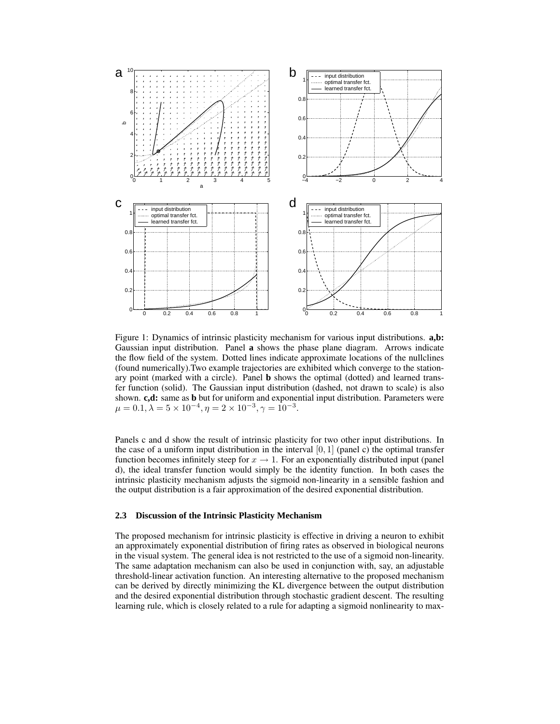

Figure 1: Dynamics of intrinsic plasticity mechanism for various input distributions. **a,b:** Gaussian input distribution. Panel **a** shows the phase plane diagram. Arrows indicate the flow field of the system. Dotted lines indicate approximate locations of the nullclines (found numerically).Two example trajectories are exhibited which converge to the stationary point (marked with a circle). Panel **b** shows the optimal (dotted) and learned transfer function (solid). The Gaussian input distribution (dashed, not drawn to scale) is also shown. **c,d:** same as **b** but for uniform and exponential input distribution. Parameters were  $\mu = 0.1, \lambda = 5 \times 10^{-4}, \eta = 2 \times 10^{-3}, \gamma = 10^{-3}.$ 

Panels c and d show the result of intrinsic plasticity for two other input distributions. In the case of a uniform input distribution in the interval  $[0, 1]$  (panel c) the optimal transfer function becomes infinitely steep for  $x \to 1$ . For an exponentially distributed input (panel) d), the ideal transfer function would simply be the identity function. In both cases the intrinsic plasticity mechanism adjusts the sigmoid non-linearity in a sensible fashion and the output distribution is a fair approximation of the desired exponential distribution.

#### **2.3 Discussion of the Intrinsic Plasticity Mechanism**

The proposed mechanism for intrinsic plasticity is effective in driving a neuron to exhibit an approximately exponential distribution of firing rates as observed in biological neurons in the visual system. The general idea is not restricted to the use of a sigmoid non-linearity. The same adaptation mechanism can also be used in conjunction with, say, an adjustable threshold-linear activation function. An interesting alternative to the proposed mechanism can be derived by directly minimizing the KL divergence between the output distribution and the desired exponential distribution through stochastic gradient descent. The resulting learning rule, which is closely related to a rule for adapting a sigmoid nonlinearity to max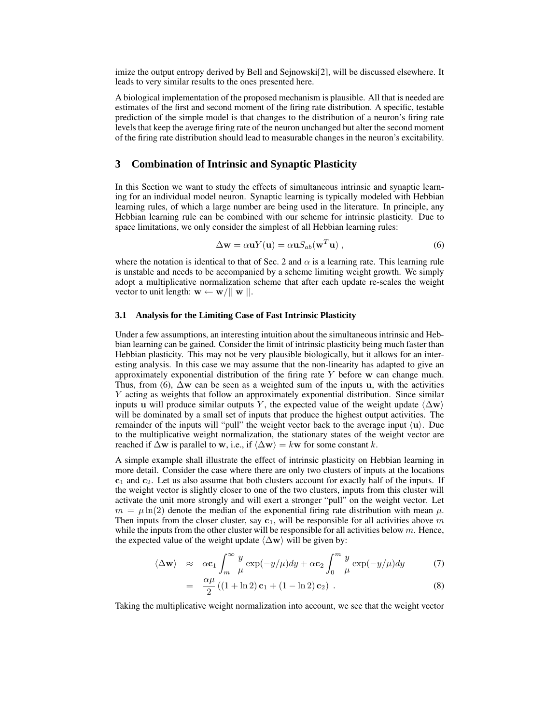imize the output entropy derived by Bell and Sejnowski[2], will be discussed elsewhere. It leads to very similar results to the ones presented here.

A biological implementation of the proposed mechanism is plausible. All that is needed are estimates of the first and second moment of the firing rate distribution. A specific, testable prediction of the simple model is that changes to the distribution of a neuron's firing rate levels that keep the average firing rate of the neuron unchanged but alter the second moment of the firing rate distribution should lead to measurable changes in the neuron's excitability.

## **3 Combination of Intrinsic and Synaptic Plasticity**

In this Section we want to study the effects of simultaneous intrinsic and synaptic learning for an individual model neuron. Synaptic learning is typically modeled with Hebbian learning rules, of which a large number are being used in the literature. In principle, any Hebbian learning rule can be combined with our scheme for intrinsic plasticity. Due to space limitations, we only consider the simplest of all Hebbian learning rules:

$$
\Delta \mathbf{w} = \alpha \mathbf{u} Y(\mathbf{u}) = \alpha \mathbf{u} S_{ab}(\mathbf{w}^T \mathbf{u}), \qquad (6)
$$

where the notation is identical to that of Sec. 2 and  $\alpha$  is a learning rate. This learning rule is unstable and needs to be accompanied by a scheme limiting weight growth. We simply adopt a multiplicative normalization scheme that after each update re-scales the weight vector to unit length:  $\mathbf{w} \leftarrow \mathbf{w}/||\mathbf{w}||$ .

### **3.1 Analysis for the Limiting Case of Fast Intrinsic Plasticity**

Under a few assumptions, an interesting intuition about the simultaneous intrinsic and Hebbian learning can be gained. Consider the limit of intrinsic plasticity being much faster than Hebbian plasticity. This may not be very plausible biologically, but it allows for an interesting analysis. In this case we may assume that the non-linearity has adapted to give an approximately exponential distribution of the firing rate  $Y$  before w can change much. Thus, from (6),  $\Delta w$  can be seen as a weighted sum of the inputs u, with the activities Y acting as weights that follow an approximately exponential distribution. Since similar inputs u will produce similar outputs Y, the expected value of the weight update  $\langle \Delta w \rangle$ will be dominated by a small set of inputs that produce the highest output activities. The remainder of the inputs will "pull" the weight vector back to the average input  $\langle u \rangle$ . Due to the multiplicative weight normalization, the stationary states of the weight vector are reached if  $\Delta$ w is parallel to w, i.e., if  $\langle \Delta w \rangle = kw$  for some constant k.

A simple example shall illustrate the effect of intrinsic plasticity on Hebbian learning in more detail. Consider the case where there are only two clusters of inputs at the locations  $c_1$  and  $c_2$ . Let us also assume that both clusters account for exactly half of the inputs. If the weight vector is slightly closer to one of the two clusters, inputs from this cluster will activate the unit more strongly and will exert a stronger "pull" on the weight vector. Let  $m = \mu \ln(2)$  denote the median of the exponential firing rate distribution with mean  $\mu$ . Then inputs from the closer cluster, say  $c_1$ , will be responsible for all activities above m while the inputs from the other cluster will be responsible for all activities below  $m$ . Hence, the expected value of the weight update  $\langle \Delta w \rangle$  will be given by:

$$
\langle \Delta \mathbf{w} \rangle \quad \approx \quad \alpha \mathbf{c}_1 \int_m^\infty \frac{y}{\mu} \exp(-y/\mu) dy + \alpha \mathbf{c}_2 \int_0^m \frac{y}{\mu} \exp(-y/\mu) dy \tag{7}
$$

$$
= \frac{\alpha \mu}{2} ((1 + \ln 2) \mathbf{c}_1 + (1 - \ln 2) \mathbf{c}_2) .
$$
 (8)

Taking the multiplicative weight normalization into account, we see that the weight vector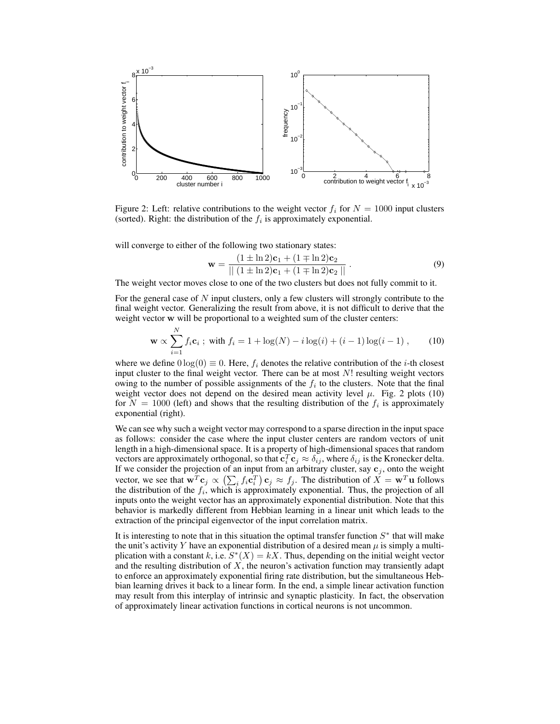

Figure 2: Left: relative contributions to the weight vector  $f_i$  for  $N = 1000$  input clusters (sorted). Right: the distribution of the  $f_i$  is approximately exponential.

will converge to either of the following two stationary states:

$$
\mathbf{w} = \frac{(1 \pm \ln 2)\mathbf{c}_1 + (1 \mp \ln 2)\mathbf{c}_2}{\| (1 \pm \ln 2)\mathbf{c}_1 + (1 \mp \ln 2)\mathbf{c}_2 \|}.
$$
(9)

The weight vector moves close to one of the two clusters but does not fully commit to it.

For the general case of N input clusters, only a few clusters will strongly contribute to the final weight vector. Generalizing the result from above, it is not difficult to derive that the weight vector w will be proportional to a weighted sum of the cluster centers:

$$
\mathbf{w} \propto \sum_{i=1}^{N} f_i \mathbf{c}_i \; ; \; \text{with } f_i = 1 + \log(N) - i \log(i) + (i - 1) \log(i - 1) \; , \tag{10}
$$

where we define  $0 \log(0) \equiv 0$ . Here,  $f_i$  denotes the relative contribution of the *i*-th closest input cluster to the final weight vector. There can be at most  $N!$  resulting weight vectors owing to the number of possible assignments of the  $f_i$  to the clusters. Note that the final weight vector does not depend on the desired mean activity level  $\mu$ . Fig. 2 plots (10) for  $N = 1000$  (left) and shows that the resulting distribution of the  $f_i$  is approximately exponential (right).

We can see why such a weight vector may correspond to a sparse direction in the input space as follows: consider the case where the input cluster centers are random vectors of unit length in a high-dimensional space. It is a property of high-dimensional spaces that random vectors are approximately orthogonal, so that  $c_i^T c_j \approx \delta_{ij}$ , where  $\delta_{ij}$  is the Kronecker delta. If we consider the projection of an input from an arbitrary cluster, say  $c_j$ , onto the weight vector, we see that  $\mathbf{w}^T \mathbf{c}_j \propto (\sum_i f_i \mathbf{c}_i^T) \mathbf{c}_j \approx f_j$ . The distribution of  $\overline{X} = \mathbf{w}^T \mathbf{u}$  follows the distribution of the  $f_i$ , which is approximately exponential. Thus, the projection of all inputs onto the weight vector has an approximately exponential distribution. Note that this behavior is markedly different from Hebbian learning in a linear unit which leads to the extraction of the principal eigenvector of the input correlation matrix.

It is interesting to note that in this situation the optimal transfer function  $S^*$  that will make the unit's activity Y have an exponential distribution of a desired mean  $\mu$  is simply a multiplication with a constant k, i.e.  $S^*(X) = kX$ . Thus, depending on the initial weight vector and the resulting distribution of  $X$ , the neuron's activation function may transiently adapt to enforce an approximately exponential firing rate distribution, but the simultaneous Hebbian learning drives it back to a linear form. In the end, a simple linear activation function may result from this interplay of intrinsic and synaptic plasticity. In fact, the observation of approximately linear activation functions in cortical neurons is not uncommon.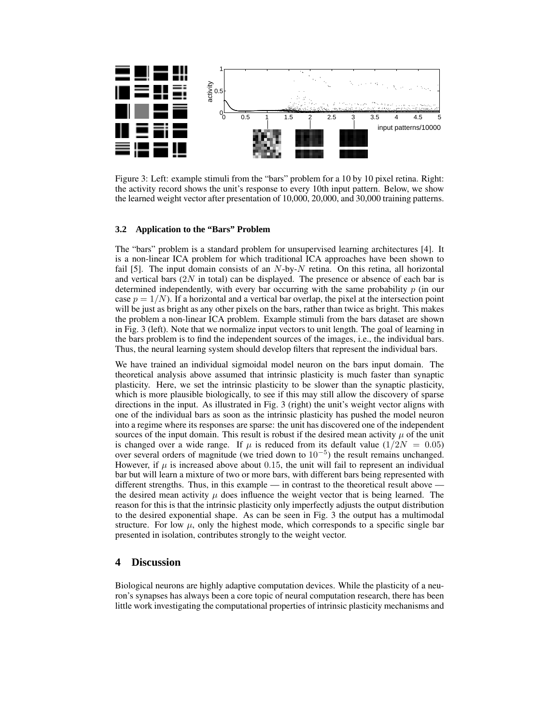

Figure 3: Left: example stimuli from the "bars" problem for a 10 by 10 pixel retina. Right: the activity record shows the unit's response to every 10th input pattern. Below, we show the learned weight vector after presentation of 10,000, 20,000, and 30,000 training patterns.

#### **3.2 Application to the "Bars" Problem**

The "bars" problem is a standard problem for unsupervised learning architectures [4]. It is a non-linear ICA problem for which traditional ICA approaches have been shown to fail [5]. The input domain consists of an  $N$ -by- $N$  retina. On this retina, all horizontal and vertical bars  $(2N \text{ in total})$  can be displayed. The presence or absence of each bar is determined independently, with every bar occurring with the same probability  $p$  (in our case  $p = 1/N$ . If a horizontal and a vertical bar overlap, the pixel at the intersection point will be just as bright as any other pixels on the bars, rather than twice as bright. This makes the problem a non-linear ICA problem. Example stimuli from the bars dataset are shown in Fig. 3 (left). Note that we normalize input vectors to unit length. The goal of learning in the bars problem is to find the independent sources of the images, i.e., the individual bars. Thus, the neural learning system should develop filters that represent the individual bars.

We have trained an individual sigmoidal model neuron on the bars input domain. The theoretical analysis above assumed that intrinsic plasticity is much faster than synaptic plasticity. Here, we set the intrinsic plasticity to be slower than the synaptic plasticity, which is more plausible biologically, to see if this may still allow the discovery of sparse directions in the input. As illustrated in Fig. 3 (right) the unit's weight vector aligns with one of the individual bars as soon as the intrinsic plasticity has pushed the model neuron into a regime where its responses are sparse: the unit has discovered one of the independent sources of the input domain. This result is robust if the desired mean activity  $\mu$  of the unit is changed over a wide range. If  $\mu$  is reduced from its default value (1/2N = 0.05) over several orders of magnitude (we tried down to 10<sup>−</sup><sup>5</sup> ) the result remains unchanged. However, if  $\mu$  is increased above about 0.15, the unit will fail to represent an individual bar but will learn a mixture of two or more bars, with different bars being represented with different strengths. Thus, in this example — in contrast to the theoretical result above the desired mean activity  $\mu$  does influence the weight vector that is being learned. The reason for this is that the intrinsic plasticity only imperfectly adjusts the output distribution to the desired exponential shape. As can be seen in Fig. 3 the output has a multimodal structure. For low  $\mu$ , only the highest mode, which corresponds to a specific single bar presented in isolation, contributes strongly to the weight vector.

# **4 Discussion**

Biological neurons are highly adaptive computation devices. While the plasticity of a neuron's synapses has always been a core topic of neural computation research, there has been little work investigating the computational properties of intrinsic plasticity mechanisms and